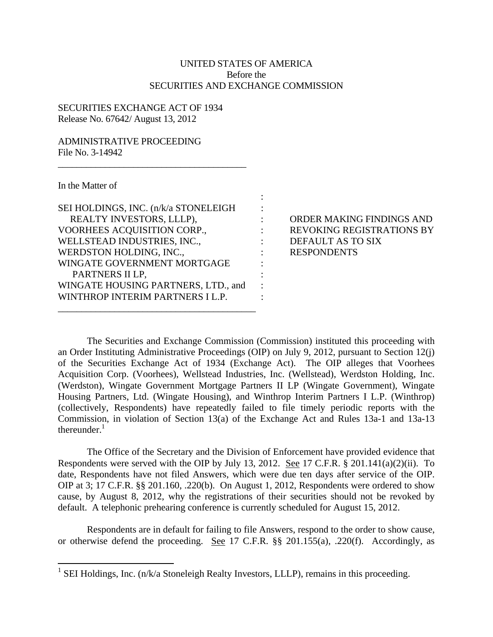## UNITED STATES OF AMERICA Before the SECURITIES AND EXCHANGE COMMISSION

:

: : : : : : : : :

## SECURITIES EXCHANGE ACT OF 1934 Release No. 67642/ August 13, 2012

## ADMINISTRATIVE PROCEEDING File No. 3-14942

In the Matter of

| SEI HOLDINGS, INC. (n/k/a STONELEIGH |
|--------------------------------------|
| REALTY INVESTORS, LLLP),             |
| VOORHEES ACQUISITION CORP.,          |
| WELLSTEAD INDUSTRIES, INC.,          |
| WERDSTON HOLDING, INC.,              |
| WINGATE GOVERNMENT MORTGAGE          |
| PARTNERS II LP,                      |
| WINGATE HOUSING PARTNERS, LTD., and  |
| WINTHROP INTERIM PARTNERS I L.P.     |
|                                      |

\_\_\_\_\_\_\_\_\_\_\_\_\_\_\_\_\_\_\_\_\_\_\_\_\_\_\_\_\_\_\_\_\_\_\_\_\_\_\_\_

ORDER MAKING FINDINGS AND REVOKING REGISTRATIONS BY DEFAULT AS TO SIX RESPONDENTS

The Securities and Exchange Commission (Commission) instituted this proceeding with an Order Instituting Administrative Proceedings (OIP) on July 9, 2012, pursuant to Section 12(j) of the Securities Exchange Act of 1934 (Exchange Act). The OIP alleges that Voorhees Acquisition Corp. (Voorhees), Wellstead Industries, Inc. (Wellstead), Werdston Holding, Inc. (Werdston), Wingate Government Mortgage Partners II LP (Wingate Government), Wingate Housing Partners, Ltd. (Wingate Housing), and Winthrop Interim Partners I L.P. (Winthrop) (collectively, Respondents) have repeatedly failed to file timely periodic reports with the Commission, in violation of Section 13(a) of the Exchange Act and Rules 13a-1 and 13a-13 thereunder. $<sup>1</sup>$ </sup>

The Office of the Secretary and the Division of Enforcement have provided evidence that Respondents were served with the OIP by July 13, 2012. See 17 C.F.R. § 201.141(a)(2)(ii). To date, Respondents have not filed Answers, which were due ten days after service of the OIP. OIP at 3; 17 C.F.R. §§ 201.160, .220(b). On August 1, 2012, Respondents were ordered to show cause, by August 8, 2012, why the registrations of their securities should not be revoked by default. A telephonic prehearing conference is currently scheduled for August 15, 2012.

Respondents are in default for failing to file Answers, respond to the order to show cause, or otherwise defend the proceeding. See 17 C.F.R. §§ 201.155(a), .220(f). Accordingly, as

<sup>&</sup>lt;sup>1</sup> SEI Holdings, Inc. (n/k/a Stoneleigh Realty Investors, LLLP), remains in this proceeding.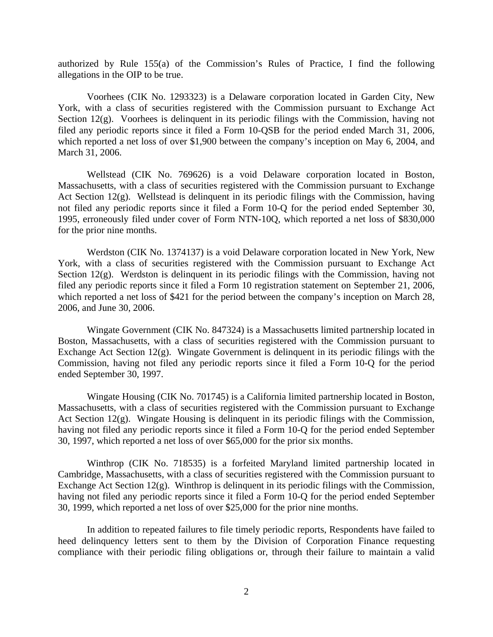authorized by Rule 155(a) of the Commission's Rules of Practice, I find the following allegations in the OIP to be true.

Voorhees (CIK No. 1293323) is a Delaware corporation located in Garden City, New York, with a class of securities registered with the Commission pursuant to Exchange Act Section 12(g). Voorhees is delinquent in its periodic filings with the Commission, having not filed any periodic reports since it filed a Form 10-QSB for the period ended March 31, 2006, which reported a net loss of over \$1,900 between the company's inception on May 6, 2004, and March 31, 2006.

Wellstead (CIK No. 769626) is a void Delaware corporation located in Boston, Massachusetts, with a class of securities registered with the Commission pursuant to Exchange Act Section 12(g). Wellstead is delinquent in its periodic filings with the Commission, having not filed any periodic reports since it filed a Form 10-Q for the period ended September 30, 1995, erroneously filed under cover of Form NTN-10Q, which reported a net loss of \$830,000 for the prior nine months.

Werdston (CIK No. 1374137) is a void Delaware corporation located in New York, New York, with a class of securities registered with the Commission pursuant to Exchange Act Section 12(g). Werdston is delinquent in its periodic filings with the Commission, having not filed any periodic reports since it filed a Form 10 registration statement on September 21, 2006, which reported a net loss of \$421 for the period between the company's inception on March 28, 2006, and June 30, 2006.

Wingate Government (CIK No. 847324) is a Massachusetts limited partnership located in Boston, Massachusetts, with a class of securities registered with the Commission pursuant to Exchange Act Section 12(g). Wingate Government is delinquent in its periodic filings with the Commission, having not filed any periodic reports since it filed a Form 10-Q for the period ended September 30, 1997.

Wingate Housing (CIK No. 701745) is a California limited partnership located in Boston, Massachusetts, with a class of securities registered with the Commission pursuant to Exchange Act Section 12(g). Wingate Housing is delinquent in its periodic filings with the Commission, having not filed any periodic reports since it filed a Form 10-Q for the period ended September 30, 1997, which reported a net loss of over \$65,000 for the prior six months.

Winthrop (CIK No. 718535) is a forfeited Maryland limited partnership located in Cambridge, Massachusetts, with a class of securities registered with the Commission pursuant to Exchange Act Section  $12(g)$ . Winthrop is delinquent in its periodic filings with the Commission, having not filed any periodic reports since it filed a Form 10-Q for the period ended September 30, 1999, which reported a net loss of over \$25,000 for the prior nine months.

In addition to repeated failures to file timely periodic reports, Respondents have failed to heed delinquency letters sent to them by the Division of Corporation Finance requesting compliance with their periodic filing obligations or, through their failure to maintain a valid